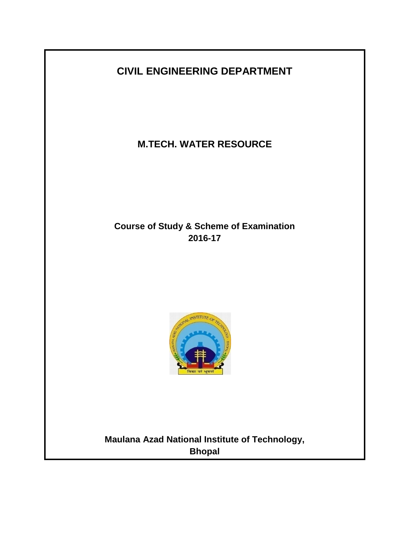

**M.TECH. WATER RESOURCE**

**Course of Study & Scheme of Examination 2016-17**



**Maulana Azad National Institute of Technology, Bhopal**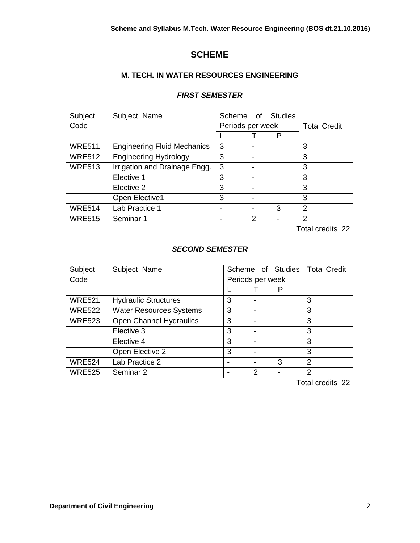# **SCHEME**

# **M. TECH. IN WATER RESOURCES ENGINEERING**

# *FIRST SEMESTER*

| Subject       | Subject Name                       | Scheme                   | 0f            | Studies |                     |
|---------------|------------------------------------|--------------------------|---------------|---------|---------------------|
| Code          |                                    | Periods per week         |               |         | <b>Total Credit</b> |
|               |                                    |                          |               | P       |                     |
| <b>WRE511</b> | <b>Engineering Fluid Mechanics</b> | 3                        |               |         | 3                   |
| <b>WRE512</b> | <b>Engineering Hydrology</b>       | 3                        |               |         | 3                   |
| <b>WRE513</b> | Irrigation and Drainage Engg.      | 3                        |               |         | 3                   |
|               | Elective 1                         | 3                        |               |         | 3                   |
|               | Elective 2                         | 3                        |               |         | 3                   |
|               | Open Elective1                     | 3                        |               |         | 3                   |
| <b>WRE514</b> | Lab Practice 1                     | $\overline{\phantom{0}}$ |               | 3       | 2                   |
| <b>WRE515</b> | Seminar 1                          |                          | $\mathcal{P}$ |         | $\overline{2}$      |
|               |                                    |                          |               |         | Total credits 22    |

# *SECOND SEMESTER*

| Subject       | Subject Name                   | Scheme of Studies |   | <b>Total Credit</b> |                  |
|---------------|--------------------------------|-------------------|---|---------------------|------------------|
| Code          |                                | Periods per week  |   |                     |                  |
|               |                                |                   |   | P                   |                  |
| <b>WRE521</b> | <b>Hydraulic Structures</b>    | 3                 |   |                     | 3                |
| <b>WRE522</b> | <b>Water Resources Systems</b> | 3                 |   |                     | 3                |
| <b>WRE523</b> | Open Channel Hydraulics        | 3                 |   |                     | 3                |
|               | Elective 3                     | 3                 |   |                     | 3                |
|               | Elective 4                     | 3                 |   |                     | 3                |
|               | Open Elective 2                | 3                 |   |                     | 3                |
| <b>WRE524</b> | Lab Practice 2                 |                   |   | 3                   | 2                |
| <b>WRE525</b> | Seminar 2                      |                   | 2 |                     | 2                |
|               |                                |                   |   |                     | Total credits 22 |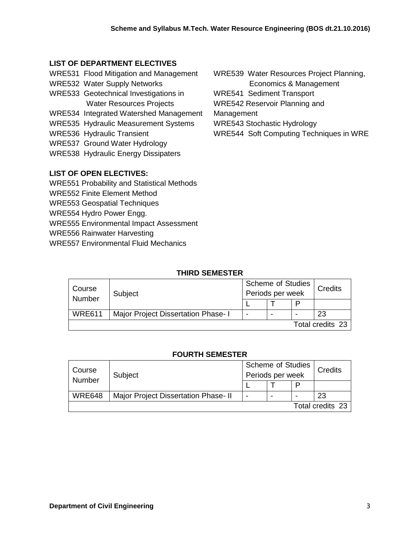# **LIST OF DEPARTMENT ELECTIVES**

- WRE531 Flood Mitigation and Management
- WRE532 Water Supply Networks
- WRE533 Geotechnical Investigations in Water Resources Projects
- WRE534 Integrated Watershed Management
- WRE535 Hydraulic Measurement Systems
- WRE536 Hydraulic Transient
- WRE537 Ground Water Hydrology
- WRE538 Hydraulic Energy Dissipaters

# **LIST OF OPEN ELECTIVES:**

- WRE551 Probability and Statistical Methods
- WRE552 Finite Element Method
- WRE553 Geospatial Techniques
- WRE554 Hydro Power Engg.
- WRE555 Environmental Impact Assessment
- WRE556 Rainwater Harvesting
- WRE557 Environmental Fluid Mechanics

WRE539 Water Resources Project Planning,

Economics & Management

WRE541 Sediment Transport

WRE542 Reservoir Planning and

Management

WRE543 Stochastic Hydrology

WRE544 Soft Computing Techniques in WRE

# **THIRD SEMESTER**

| Course<br>Number | Subject                             | <b>Scheme of Studies</b><br>Periods per week |  |   | Credits |
|------------------|-------------------------------------|----------------------------------------------|--|---|---------|
|                  |                                     |                                              |  | P |         |
| <b>WRE611</b>    | Major Project Dissertation Phase- I | -                                            |  |   | 23      |
| Total credits 23 |                                     |                                              |  |   |         |

# **FOURTH SEMESTER**

| Course<br>Number | Subject                              | <b>Scheme of Studies</b><br>Periods per week |  |   | Credits          |
|------------------|--------------------------------------|----------------------------------------------|--|---|------------------|
|                  |                                      |                                              |  | P |                  |
| <b>WRE648</b>    | Major Project Dissertation Phase- II | -                                            |  | - | 23               |
|                  |                                      |                                              |  |   | Total credits 23 |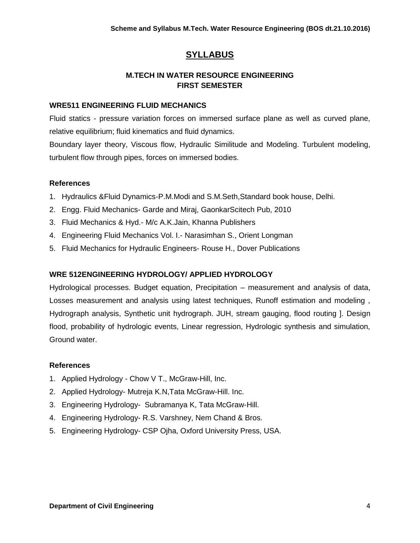# **SYLLABUS**

# **M.TECH IN WATER RESOURCE ENGINEERING FIRST SEMESTER**

### **WRE511 ENGINEERING FLUID MECHANICS**

Fluid statics - pressure variation forces on immersed surface plane as well as curved plane, relative equilibrium; fluid kinematics and fluid dynamics.

Boundary layer theory, Viscous flow, Hydraulic Similitude and Modeling. Turbulent modeling, turbulent flow through pipes, forces on immersed bodies.

# **References**

- 1. Hydraulics &Fluid Dynamics-P.M.Modi and S.M.Seth,Standard book house, Delhi.
- 2. Engg. Fluid Mechanics- Garde and Miraj, GaonkarScitech Pub, 2010
- 3. Fluid Mechanics & Hyd.- M/c A.K.Jain, Khanna Publishers
- 4. Engineering Fluid Mechanics Vol. I.- Narasimhan S., Orient Longman
- 5. Fluid Mechanics for Hydraulic Engineers- Rouse H., Dover Publications

# **WRE 512ENGINEERING HYDROLOGY/ APPLIED HYDROLOGY**

Hydrological processes. Budget equation, Precipitation – measurement and analysis of data, Losses measurement and analysis using latest techniques, Runoff estimation and modeling , Hydrograph analysis, Synthetic unit hydrograph. JUH, stream gauging, flood routing ]. Design flood, probability of hydrologic events, Linear regression, Hydrologic synthesis and simulation, Ground water.

- 1. Applied Hydrology Chow V T., McGraw-Hill, Inc.
- 2. Applied Hydrology- Mutreja K.N,Tata McGraw-Hill. Inc.
- 3. Engineering Hydrology- Subramanya K, Tata McGraw-Hill.
- 4. Engineering Hydrology- R.S. Varshney, Nem Chand & Bros.
- 5. Engineering Hydrology- CSP Ojha, Oxford University Press, USA.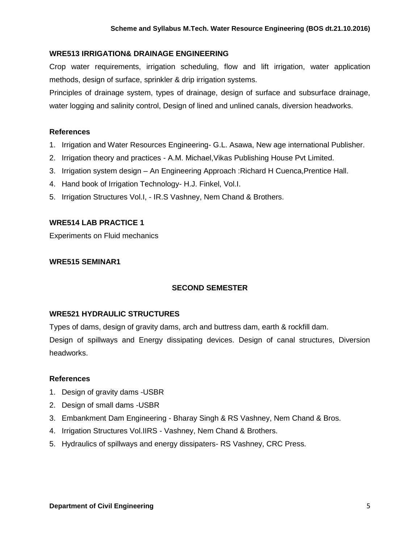# **WRE513 IRRIGATION& DRAINAGE ENGINEERING**

Crop water requirements, irrigation scheduling, flow and lift irrigation, water application methods, design of surface, sprinkler & drip irrigation systems.

Principles of drainage system, types of drainage, design of surface and subsurface drainage, water logging and salinity control, Design of lined and unlined canals, diversion headworks.

### **References**

- 1. Irrigation and Water Resources Engineering- G.L. Asawa, New age international Publisher.
- 2. Irrigation theory and practices A.M. Michael,Vikas Publishing House Pvt Limited.
- 3. Irrigation system design An Engineering Approach :Richard H Cuenca,Prentice Hall.
- 4. Hand book of Irrigation Technology- H.J. Finkel, Vol.I.
- 5. Irrigation Structures Vol.I, IR.S Vashney, Nem Chand & Brothers.

# **WRE514 LAB PRACTICE 1**

Experiments on Fluid mechanics

### **WRE515 SEMINAR1**

### **SECOND SEMESTER**

### **WRE521 HYDRAULIC STRUCTURES**

Types of dams, design of gravity dams, arch and buttress dam, earth & rockfill dam. Design of spillways and Energy dissipating devices. Design of canal structures, Diversion headworks.

- 1. Design of gravity dams -USBR
- 2. Design of small dams -USBR
- 3. Embankment Dam Engineering Bharay Singh & RS Vashney, Nem Chand & Bros.
- 4. Irrigation Structures Vol.IIRS Vashney, Nem Chand & Brothers.
- 5. Hydraulics of spillways and energy dissipaters- RS Vashney, CRC Press.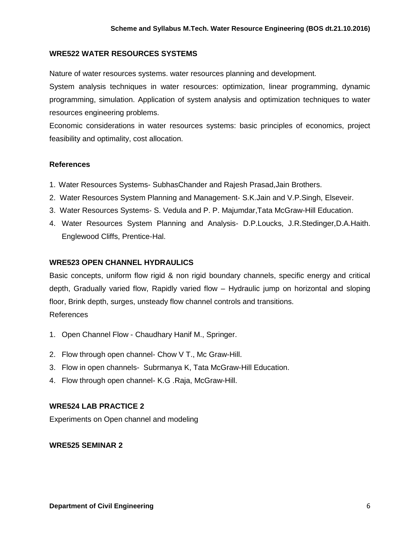### **WRE522 WATER RESOURCES SYSTEMS**

Nature of water resources systems. water resources planning and development.

System analysis techniques in water resources: optimization, linear programming, dynamic programming, simulation. Application of system analysis and optimization techniques to water resources engineering problems.

Economic considerations in water resources systems: basic principles of economics, project feasibility and optimality, cost allocation.

### **References**

- 1. Water Resources Systems- SubhasChander and Rajesh Prasad,Jain Brothers.
- 2. Water Resources System Planning and Management- S.K.Jain and V.P.Singh, Elseveir.
- 3. Water Resources Systems- S. Vedula and P. P. Majumdar,Tata McGraw-Hill Education.
- 4. Water Resources System Planning and Analysis- D.P.Loucks, J.R.Stedinger,D.A.Haith. Englewood Cliffs, Prentice-Hal.

### **WRE523 OPEN CHANNEL HYDRAULICS**

Basic concepts, uniform flow rigid & non rigid boundary channels, specific energy and critical depth, Gradually varied flow, Rapidly varied flow – Hydraulic jump on horizontal and sloping floor, Brink depth, surges, unsteady flow channel controls and transitions. References

- 1. Open Channel Flow Chaudhary Hanif M., Springer.
- 2. Flow through open channel- Chow V T., Mc Graw-Hill.
- 3. Flow in open channels- Subrmanya K, Tata McGraw-Hill Education.
- 4. Flow through open channel- K.G .Raja, McGraw-Hill.

### **WRE524 LAB PRACTICE 2**

Experiments on Open channel and modeling

### **WRE525 SEMINAR 2**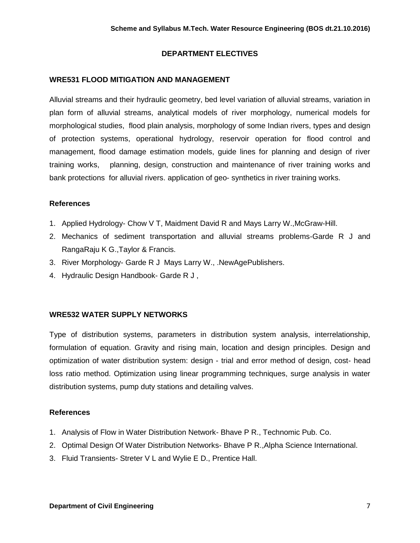# **DEPARTMENT ELECTIVES**

### **WRE531 FLOOD MITIGATION AND MANAGEMENT**

Alluvial streams and their hydraulic geometry, bed level variation of alluvial streams, variation in plan form of alluvial streams, analytical models of river morphology, numerical models for morphological studies, flood plain analysis, morphology of some Indian rivers, types and design of protection systems, operational hydrology, reservoir operation for flood control and management, flood damage estimation models, guide lines for planning and design of river training works, planning, design, construction and maintenance of river training works and bank protections for alluvial rivers. application of geo- synthetics in river training works.

### **References**

- 1. Applied Hydrology- Chow V T, Maidment David R and Mays Larry W.,McGraw-Hill.
- 2. Mechanics of sediment transportation and alluvial streams problems-Garde R J and RangaRaju K G.,Taylor & Francis.
- 3. River Morphology- Garde R J Mays Larry W., .NewAgePublishers.
- 4. Hydraulic Design Handbook- Garde R J ,

# **WRE532 WATER SUPPLY NETWORKS**

Type of distribution systems, parameters in distribution system analysis, interrelationship, formulation of equation. Gravity and rising main, location and design principles. Design and optimization of water distribution system: design - trial and error method of design, cost- head loss ratio method. Optimization using linear programming techniques, surge analysis in water distribution systems, pump duty stations and detailing valves.

- 1. Analysis of Flow in Water Distribution Network- Bhave P R., Technomic Pub. Co.
- 2. Optimal Design Of Water Distribution Networks- Bhave P R.,Alpha Science International.
- 3. Fluid Transients- Streter V L and Wylie E D., Prentice Hall.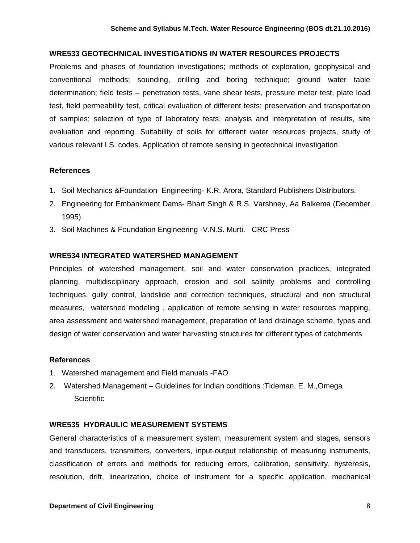#### **WRE533 GEOTECHNICAL INVESTIGATIONS IN WATER RESOURCES PROJECTS**

Problems and phases of foundation investigations; methods of exploration, geophysical and conventional methods; sounding, drilling and boring technique; ground water table determination; field tests – penetration tests, vane shear tests, pressure meter test, plate load test, field permeability test, critical evaluation of different tests; preservation and transportation of samples; selection of type of laboratory tests, analysis and interpretation of results, site evaluation and reporting. Suitability of soils for different water resources projects, study of various relevant I.S. codes. Application of remote sensing in geotechnical investigation.

#### **References**

- 1. Soil Mechanics &Foundation Engineering- K.R. Arora, Standard Publishers Distributors.
- 2. Engineering for Embankment Dams- Bhart Singh & R.S. Varshney, Aa Balkema (December 1995).
- 3. Soil Machines & Foundation Engineering -V.N.S. Murti. CRC Press

#### **WRE534 INTEGRATED WATERSHED MANAGEMENT**

Principles of watershed management, soil and water conservation practices, integrated planning, multidisciplinary approach, erosion and soil salinity problems and controlling techniques, gully control, landslide and correction techniques, structural and non structural measures, watershed modeling , application of remote sensing in water resources mapping, area assessment and watershed management, preparation of land drainage scheme, types and design of water conservation and water harvesting structures for different types of catchments

#### **References**

- 1. Watershed management and Field manuals -FAO
- 2. Watershed Management Guidelines for Indian conditions :Tideman, E. M.,Omega **Scientific**

#### **WRE535 HYDRAULIC MEASUREMENT SYSTEMS**

General characteristics of a measurement system, measurement system and stages, sensors and transducers, transmitters, converters, input-output relationship of measuring instruments, classification of errors and methods for reducing errors, calibration, sensitivity, hysteresis, resolution, drift, linearization, choice of instrument for a specific application. mechanical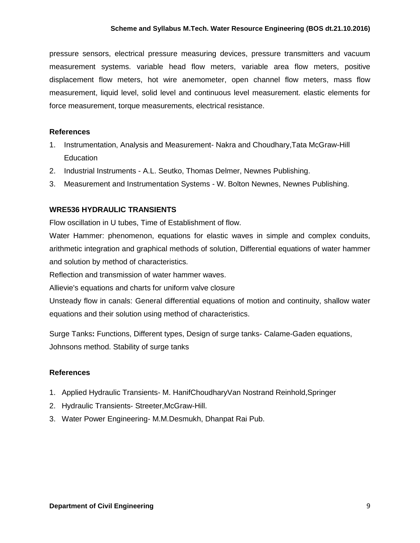pressure sensors, electrical pressure measuring devices, pressure transmitters and vacuum measurement systems. variable head flow meters, variable area flow meters, positive displacement flow meters, hot wire anemometer, open channel flow meters, mass flow measurement, liquid level, solid level and continuous level measurement. elastic elements for force measurement, torque measurements, electrical resistance.

# **References**

- 1. Instrumentation, Analysis and Measurement- Nakra and Choudhary,Tata McGraw-Hill **Education**
- 2. Industrial Instruments A.L. Seutko, Thomas Delmer, Newnes Publishing.
- 3. Measurement and Instrumentation Systems W. Bolton Newnes, Newnes Publishing.

# **WRE536 HYDRAULIC TRANSIENTS**

Flow oscillation in U tubes, Time of Establishment of flow.

Water Hammer: phenomenon, equations for elastic waves in simple and complex conduits, arithmetic integration and graphical methods of solution, Differential equations of water hammer and solution by method of characteristics.

Reflection and transmission of water hammer waves.

Allievie's equations and charts for uniform valve closure

Unsteady flow in canals: General differential equations of motion and continuity, shallow water equations and their solution using method of characteristics.

Surge Tanks**:** Functions, Different types, Design of surge tanks- Calame-Gaden equations, Johnsons method. Stability of surge tanks

- 1. Applied Hydraulic Transients- M. HanifChoudharyVan Nostrand Reinhold,Springer
- 2. Hydraulic Transients- Streeter,McGraw-Hill.
- 3. Water Power Engineering- M.M.Desmukh, Dhanpat Rai Pub.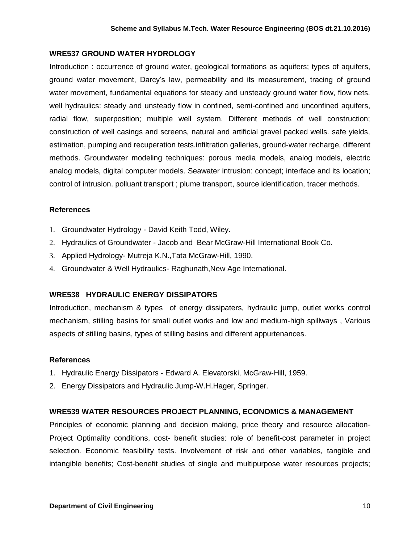# **WRE537 GROUND WATER HYDROLOGY**

Introduction : occurrence of ground water, geological formations as aquifers; types of aquifers, ground water movement, Darcy's law, permeability and its measurement, tracing of ground water movement, fundamental equations for steady and unsteady ground water flow, flow nets. well hydraulics: steady and unsteady flow in confined, semi-confined and unconfined aquifers, radial flow, superposition; multiple well system. Different methods of well construction; construction of well casings and screens, natural and artificial gravel packed wells. safe yields, estimation, pumping and recuperation tests.infiltration galleries, ground-water recharge, different methods. Groundwater modeling techniques: porous media models, analog models, electric analog models, digital computer models. Seawater intrusion: concept; interface and its location; control of intrusion. polluant transport ; plume transport, source identification, tracer methods.

### **References**

- 1. Groundwater Hydrology David Keith Todd, Wiley.
- 2. Hydraulics of Groundwater Jacob and Bear McGraw-Hill International Book Co.
- 3. Applied Hydrology- Mutreja K.N.,Tata McGraw-Hill, 1990.
- 4. Groundwater & Well Hydraulics- Raghunath,New Age International.

# **WRE538 HYDRAULIC ENERGY DISSIPATORS**

Introduction, mechanism & types of energy dissipaters, hydraulic jump, outlet works control mechanism, stilling basins for small outlet works and low and medium-high spillways , Various aspects of stilling basins, types of stilling basins and different appurtenances.

### **References**

- 1. Hydraulic Energy Dissipators Edward A. Elevatorski, McGraw-Hill, 1959.
- 2. Energy Dissipators and Hydraulic Jump-W.H.Hager, Springer.

# **WRE539 WATER RESOURCES PROJECT PLANNING, ECONOMICS & MANAGEMENT**

Principles of economic planning and decision making, price theory and resource allocation-Project Optimality conditions, cost- benefit studies: role of benefit-cost parameter in project selection. Economic feasibility tests. Involvement of risk and other variables, tangible and intangible benefits; Cost-benefit studies of single and multipurpose water resources projects;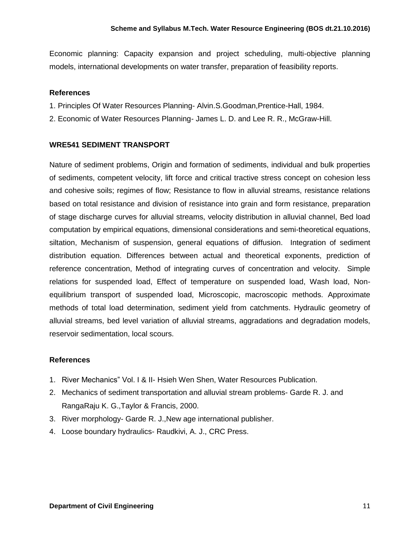Economic planning: Capacity expansion and project scheduling, multi-objective planning models, international developments on water transfer, preparation of feasibility reports.

### **References**

- 1. Principles Of Water Resources Planning- Alvin.S.Goodman,Prentice-Hall, 1984.
- 2. Economic of Water Resources Planning- James L. D. and Lee R. R., McGraw-Hill.

### **WRE541 SEDIMENT TRANSPORT**

Nature of sediment problems, Origin and formation of sediments, individual and bulk properties of sediments, competent velocity, lift force and critical tractive stress concept on cohesion less and cohesive soils; regimes of flow; Resistance to flow in alluvial streams, resistance relations based on total resistance and division of resistance into grain and form resistance, preparation of stage discharge curves for alluvial streams, velocity distribution in alluvial channel, Bed load computation by empirical equations, dimensional considerations and semi-theoretical equations, siltation, Mechanism of suspension, general equations of diffusion. Integration of sediment distribution equation. Differences between actual and theoretical exponents, prediction of reference concentration, Method of integrating curves of concentration and velocity. Simple relations for suspended load, Effect of temperature on suspended load, Wash load, Nonequilibrium transport of suspended load, Microscopic, macroscopic methods. Approximate methods of total load determination, sediment yield from catchments. Hydraulic geometry of alluvial streams, bed level variation of alluvial streams, aggradations and degradation models, reservoir sedimentation, local scours.

- 1. River Mechanics" Vol. I & II- Hsieh Wen Shen, Water Resources Publication.
- 2. Mechanics of sediment transportation and alluvial stream problems- Garde R. J. and RangaRaju K. G.,Taylor & Francis, 2000.
- 3. River morphology- Garde R. J.,New age international publisher.
- 4. Loose boundary hydraulics- Raudkivi, A. J., CRC Press.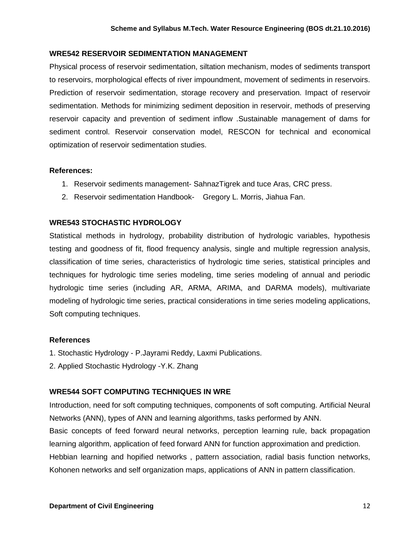### **WRE542 RESERVOIR SEDIMENTATION MANAGEMENT**

Physical process of reservoir sedimentation, siltation mechanism, modes of sediments transport to reservoirs, morphological effects of river impoundment, movement of sediments in reservoirs. Prediction of reservoir sedimentation, storage recovery and preservation. Impact of reservoir sedimentation. Methods for minimizing sediment deposition in reservoir, methods of preserving reservoir capacity and prevention of sediment inflow .Sustainable management of dams for sediment control. Reservoir conservation model, RESCON for technical and economical optimization of reservoir sedimentation studies.

### **References:**

- 1. Reservoir sediments management- SahnazTigrek and tuce Aras, CRC press.
- 2. Reservoir sedimentation Handbook- Gregory L. Morris, Jiahua Fan.

# **WRE543 STOCHASTIC HYDROLOGY**

Statistical methods in hydrology, probability distribution of hydrologic variables, hypothesis testing and goodness of fit, flood frequency analysis, single and multiple regression analysis, classification of time series, characteristics of hydrologic time series, statistical principles and techniques for hydrologic time series modeling, time series modeling of annual and periodic hydrologic time series (including AR, ARMA, ARIMA, and DARMA models), multivariate modeling of hydrologic time series, practical considerations in time series modeling applications, Soft computing techniques.

# **References**

- 1. Stochastic Hydrology P.Jayrami Reddy, Laxmi Publications.
- 2. Applied Stochastic Hydrology -Y.K. Zhang

# **WRE544 SOFT COMPUTING TECHNIQUES IN WRE**

Introduction, need for soft computing techniques, components of soft computing. Artificial Neural Networks (ANN), types of ANN and learning algorithms, tasks performed by ANN. Basic concepts of feed forward neural networks, perception learning rule, back propagation learning algorithm, application of feed forward ANN for function approximation and prediction. Hebbian learning and hopified networks , pattern association, radial basis function networks, Kohonen networks and self organization maps, applications of ANN in pattern classification.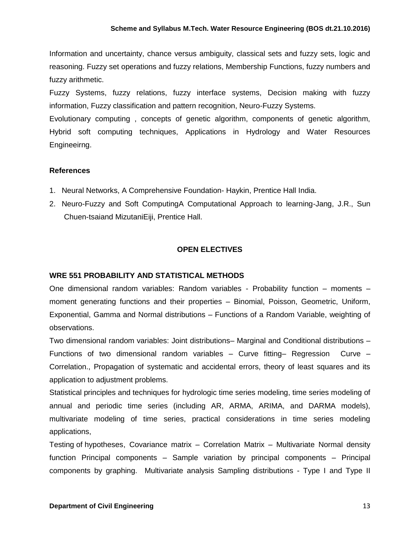Information and uncertainty, chance versus ambiguity, classical sets and fuzzy sets, logic and reasoning. Fuzzy set operations and fuzzy relations, Membership Functions, fuzzy numbers and fuzzy arithmetic.

Fuzzy Systems, fuzzy relations, fuzzy interface systems, Decision making with fuzzy information, Fuzzy classification and pattern recognition, Neuro-Fuzzy Systems.

Evolutionary computing , concepts of genetic algorithm, components of genetic algorithm, Hybrid soft computing techniques, Applications in Hydrology and Water Resources Engineeirng.

# **References**

- 1. Neural Networks, A Comprehensive Foundation- Haykin, Prentice Hall India.
- 2. Neuro-Fuzzy and Soft ComputingA Computational Approach to learning-Jang, J.R., Sun Chuen-tsaiand MizutaniEiji, Prentice Hall.

# **OPEN ELECTIVES**

# **WRE 551 PROBABILITY AND STATISTICAL METHODS**

One dimensional random variables: Random variables - Probability function – moments – moment generating functions and their properties – Binomial, Poisson, Geometric, Uniform, Exponential, Gamma and Normal distributions – Functions of a Random Variable, weighting of observations.

Two dimensional random variables: Joint distributions– Marginal and Conditional distributions – Functions of two dimensional random variables – Curve fitting– Regression Curve – Correlation., Propagation of systematic and accidental errors, theory of least squares and its application to adjustment problems.

Statistical principles and techniques for hydrologic time series modeling, time series modeling of annual and periodic time series (including AR, ARMA, ARIMA, and DARMA models), multivariate modeling of time series, practical considerations in time series modeling applications,

Testing of hypotheses, Covariance matrix – Correlation Matrix – Multivariate Normal density function Principal components – Sample variation by principal components – Principal components by graphing. Multivariate analysis Sampling distributions - Type I and Type II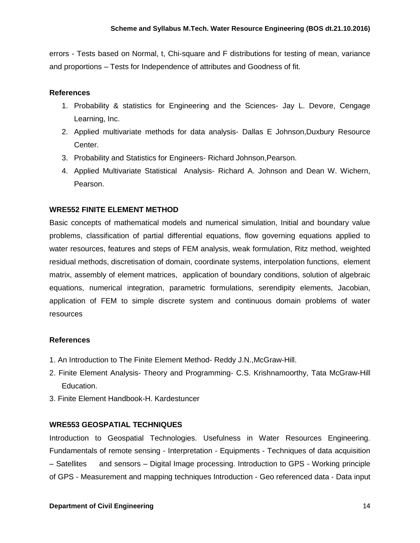errors - Tests based on Normal, t, Chi-square and F distributions for testing of mean, variance and proportions – Tests for Independence of attributes and Goodness of fit.

### **References**

- 1. Probability & statistics for Engineering and the Sciences- Jay L. Devore, Cengage Learning, Inc.
- 2. Applied multivariate methods for data analysis- Dallas E Johnson,Duxbury Resource Center.
- 3. Probability and Statistics for Engineers- Richard Johnson,Pearson.
- 4. Applied Multivariate Statistical Analysis- Richard A. Johnson and Dean W. Wichern, Pearson.

# **WRE552 FINITE ELEMENT METHOD**

Basic concepts of mathematical models and numerical simulation, Initial and boundary value problems, classification of partial differential equations, flow governing equations applied to water resources, features and steps of FEM analysis, weak formulation, Ritz method, weighted residual methods, discretisation of domain, coordinate systems, interpolation functions, element matrix, assembly of element matrices, application of boundary conditions, solution of algebraic equations, numerical integration, parametric formulations, serendipity elements, Jacobian, application of FEM to simple discrete system and continuous domain problems of water resources

### **References**

- 1. An Introduction to The Finite Element Method- Reddy J.N.,McGraw-Hill.
- 2. Finite Element Analysis- Theory and Programming- C.S. Krishnamoorthy, Tata McGraw-Hill Education.
- 3. Finite Element Handbook-H. Kardestuncer

# **WRE553 GEOSPATIAL TECHNIQUES**

Introduction to Geospatial Technologies. Usefulness in Water Resources Engineering. Fundamentals of remote sensing - Interpretation - Equipments - Techniques of data acquisition – Satellites and sensors – Digital Image processing. Introduction to GPS - Working principle of GPS - Measurement and mapping techniques Introduction - Geo referenced data - Data input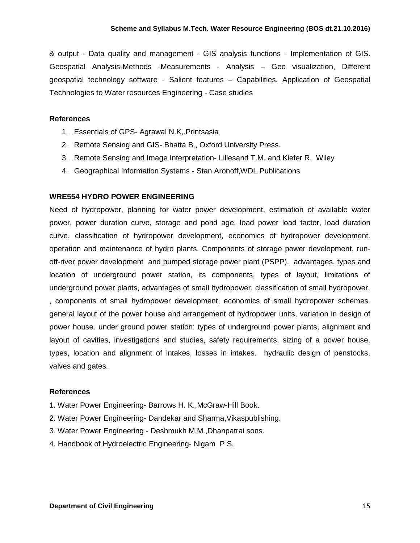& output - Data quality and management - GIS analysis functions - Implementation of GIS. Geospatial Analysis-Methods -Measurements - Analysis – Geo visualization, Different geospatial technology software - Salient features – Capabilities. Application of Geospatial Technologies to Water resources Engineering - Case studies

### **References**

- 1. Essentials of GPS- Agrawal N.K,.Printsasia
- 2. Remote Sensing and GIS- Bhatta B., Oxford University Press.
- 3. Remote Sensing and Image Interpretation- Lillesand T.M. and Kiefer R. Wiley
- 4. Geographical Information Systems Stan Aronoff,WDL Publications

### **WRE554 HYDRO POWER ENGINEERING**

Need of hydropower, planning for water power development, estimation of available water power, power duration curve, storage and pond age, load power load factor, load duration curve, classification of hydropower development, economics of hydropower development. operation and maintenance of hydro plants. Components of storage power development, runoff-river power development and pumped storage power plant (PSPP). advantages, types and location of underground power station, its components, types of layout, limitations of underground power plants, advantages of small hydropower, classification of small hydropower, , components of small hydropower development, economics of small hydropower schemes. general layout of the power house and arrangement of hydropower units, variation in design of power house. under ground power station: types of underground power plants, alignment and layout of cavities, investigations and studies, safety requirements, sizing of a power house, types, location and alignment of intakes, losses in intakes. hydraulic design of penstocks, valves and gates.

- 1. Water Power Engineering- Barrows H. K.,McGraw-Hill Book.
- 2. Water Power Engineering- Dandekar and Sharma,Vikaspublishing.
- 3. Water Power Engineering Deshmukh M.M.,Dhanpatrai sons.
- 4. Handbook of Hydroelectric Engineering- Nigam P S.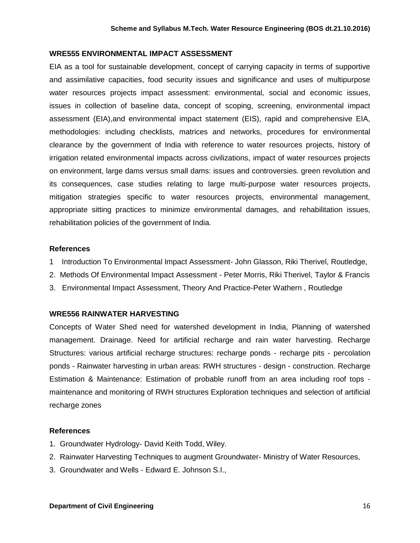#### **WRE555 ENVIRONMENTAL IMPACT ASSESSMENT**

EIA as a tool for sustainable development, concept of carrying capacity in terms of supportive and assimilative capacities, food security issues and significance and uses of multipurpose water resources projects impact assessment: environmental, social and economic issues, issues in collection of baseline data, concept of scoping, screening, environmental impact assessment (EIA),and environmental impact statement (EIS), rapid and comprehensive EIA, methodologies: including checklists, matrices and networks, procedures for environmental clearance by the government of India with reference to water resources projects, history of irrigation related environmental impacts across civilizations, impact of water resources projects on environment, large dams versus small dams: issues and controversies. green revolution and its consequences, case studies relating to large multi-purpose water resources projects, mitigation strategies specific to water resources projects, environmental management, appropriate sitting practices to minimize environmental damages, and rehabilitation issues, rehabilitation policies of the government of India.

#### **References**

- 1 [Introduction To Environmental Impact Assessment-](http://books.google.co.in/books?id=7cZ6Sxd9gR4C&printsec=frontcover&dq=eia&hl=en&sa=X&ei=lMU8T8KsNYfYrQed4LHRBw&ved=0CD4Q6AEwAQ) [John Glasson,](http://www.google.co.in/search?hl=en&sa=G&tbm=bks&tbm=bks&q=inauthor:%22John+Glasson%22&ei=lMU8T8KsNYfYrQed4LHRBw&ved=0CD8Q9Ag) [Riki Therivel,](http://www.google.co.in/search?hl=en&sa=G&tbm=bks&tbm=bks&q=inauthor:%22John+Glasson%22&q=inauthor:%22Riki+Therivel%22&ei=lMU8T8KsNYfYrQed4LHRBw&ved=0CEAQ9Ag) Routledge,
- 2. [Methods Of Environmental Impact Assessment -](http://books.google.co.in/books?id=XXBwx-UznToC&pg=PA13&dq=eia&hl=en&sa=X&ei=lMU8T8KsNYfYrQed4LHRBw&ved=0CGkQ6AEwCA) [Peter Morris,](http://books.google.co.in/books?id=XXBwx-UznToC&pg=PA13&dq=eia&hl=en&sa=X&ei=lMU8T8KsNYfYrQed4LHRBw&ved=0CGkQ6AEwCA) Riki Therivel, Taylor & Francis
- 3. [Environmental Impact Assessment, Theory And Practice-Peter Wathern](http://books.google.co.in/books?id=rOUOAAAAQAAJ&pg=PA114&dq=eia&hl=en&sa=X&ei=3sU8T-uJIpGqrAfbtK3dBw&ved=0CDoQ6AEwATgK) , Routledge

#### **WRE556 RAINWATER HARVESTING**

Concepts of Water Shed need for watershed development in India, Planning of watershed management. Drainage. Need for artificial recharge and rain water harvesting. Recharge Structures: various artificial recharge structures: recharge ponds - recharge pits - percolation ponds - Rainwater harvesting in urban areas: RWH structures - design - construction. Recharge Estimation & Maintenance: Estimation of probable runoff from an area including roof tops maintenance and monitoring of RWH structures Exploration techniques and selection of artificial recharge zones

- 1. Groundwater Hydrology- David Keith Todd, Wiley.
- 2. Rainwater Harvesting Techniques to augment Groundwater- Ministry of Water Resources,
- 3. Groundwater and Wells Edward E. Johnson S.I.,